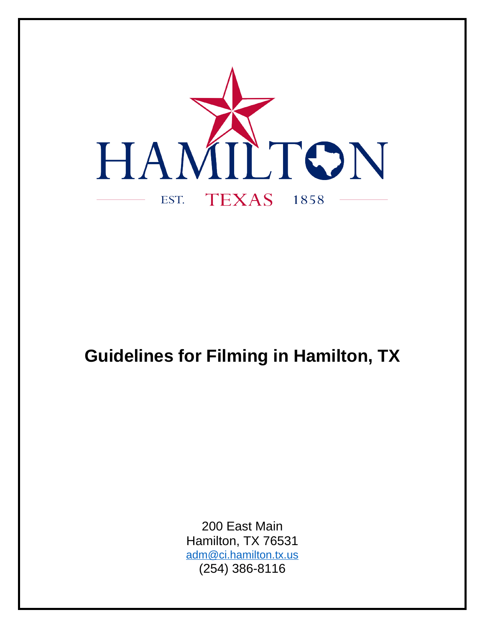

# **Guidelines for Filming in Hamilton, TX**

200 East Main Hamilton, TX 76531 [adm@ci.hamilton.tx.us](mailto:adm@ci.hamilton.tx.us) (254) 386-8116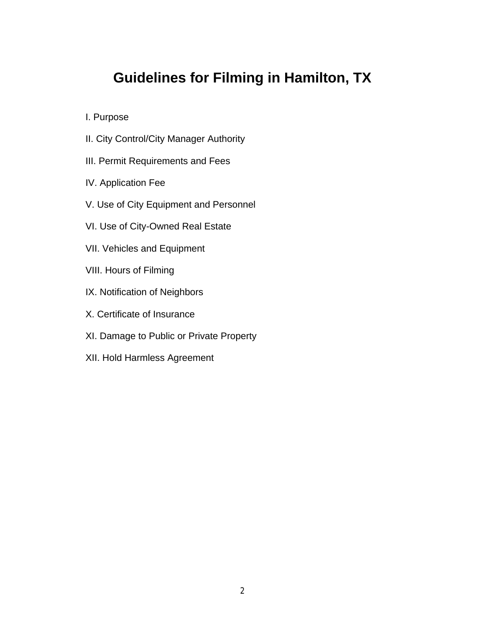## **Guidelines for Filming in Hamilton, TX**

I. Purpose

- II. City Control/City Manager Authority
- III. Permit Requirements and Fees
- IV. Application Fee
- V. Use of City Equipment and Personnel
- VI. Use of City-Owned Real Estate
- VII. Vehicles and Equipment
- VIII. Hours of Filming
- IX. Notification of Neighbors
- X. Certificate of Insurance
- XI. Damage to Public or Private Property
- XII. Hold Harmless Agreement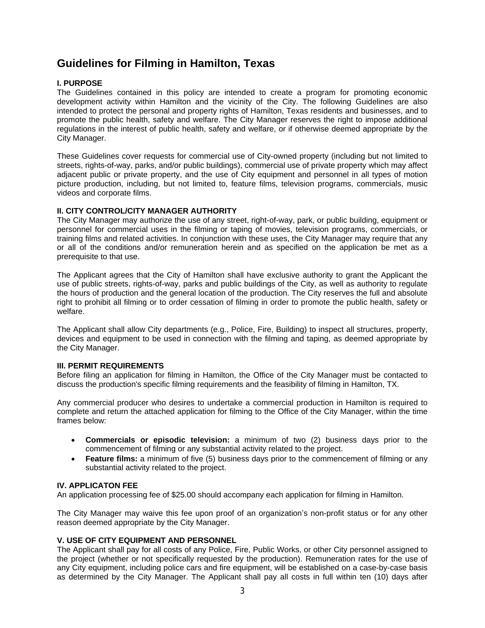## **Guidelines for Filming in Hamilton, Texas**

#### **I. PURPOSE**

The Guidelines contained in this policy are intended to create a program for promoting economic development activity within Hamilton and the vicinity of the City. The following Guidelines are also intended to protect the personal and property rights of Hamilton, Texas residents and businesses, and to promote the public health, safety and welfare. The City Manager reserves the right to impose additional regulations in the interest of public health, safety and welfare, or if otherwise deemed appropriate by the City Manager.

These Guidelines cover requests for commercial use of City-owned property (including but not limited to streets, rights-of-way, parks, and/or public buildings), commercial use of private property which may affect adjacent public or private property, and the use of City equipment and personnel in all types of motion picture production, including, but not limited to, feature films, television programs, commercials, music videos and corporate films.

#### **II. CITY CONTROL/CITY MANAGER AUTHORITY**

The City Manager may authorize the use of any street, right-of-way, park, or public building, equipment or personnel for commercial uses in the filming or taping of movies, television programs, commercials, or training films and related activities. In conjunction with these uses, the City Manager may require that any or all of the conditions and/or remuneration herein and as specified on the application be met as a prerequisite to that use.

The Applicant agrees that the City of Hamilton shall have exclusive authority to grant the Applicant the use of public streets, rights-of-way, parks and public buildings of the City, as well as authority to regulate the hours of production and the general location of the production. The City reserves the full and absolute right to prohibit all filming or to order cessation of filming in order to promote the public health, safety or welfare.

The Applicant shall allow City departments (e.g., Police, Fire, Building) to inspect all structures, property, devices and equipment to be used in connection with the filming and taping, as deemed appropriate by the City Manager.

#### **III. PERMIT REQUIREMENTS**

Before filing an application for filming in Hamilton, the Office of the City Manager must be contacted to discuss the production's specific filming requirements and the feasibility of filming in Hamilton, TX.

Any commercial producer who desires to undertake a commercial production in Hamilton is required to complete and return the attached application for filming to the Office of the City Manager, within the time frames below:

- **Commercials or episodic television:** a minimum of two (2) business days prior to the commencement of filming or any substantial activity related to the project.
- **Feature films:** a minimum of five (5) business days prior to the commencement of filming or any substantial activity related to the project.

#### **IV. APPLICATON FEE**

An application processing fee of \$25.00 should accompany each application for filming in Hamilton.

The City Manager may waive this fee upon proof of an organization's non-profit status or for any other reason deemed appropriate by the City Manager.

#### **V. USE OF CITY EQUIPMENT AND PERSONNEL**

The Applicant shall pay for all costs of any Police, Fire, Public Works, or other City personnel assigned to the project (whether or not specifically requested by the production). Remuneration rates for the use of any City equipment, including police cars and fire equipment, will be established on a case-by-case basis as determined by the City Manager. The Applicant shall pay all costs in full within ten (10) days after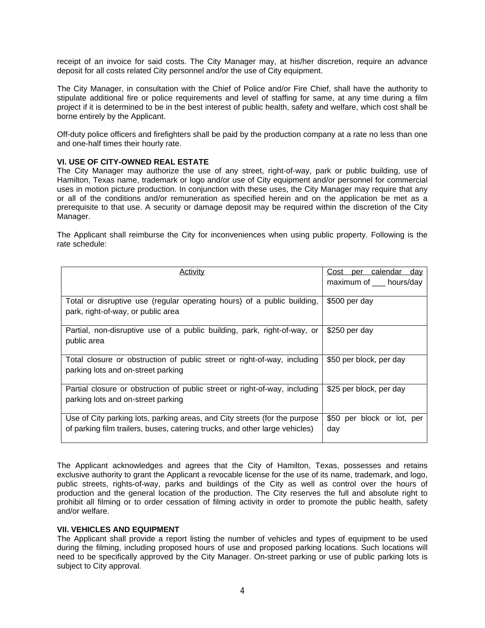receipt of an invoice for said costs. The City Manager may, at his/her discretion, require an advance deposit for all costs related City personnel and/or the use of City equipment.

The City Manager, in consultation with the Chief of Police and/or Fire Chief, shall have the authority to stipulate additional fire or police requirements and level of staffing for same, at any time during a film project if it is determined to be in the best interest of public health, safety and welfare, which cost shall be borne entirely by the Applicant.

Off-duty police officers and firefighters shall be paid by the production company at a rate no less than one and one-half times their hourly rate.

#### **VI. USE OF CITY-OWNED REAL ESTATE**

The City Manager may authorize the use of any street, right-of-way, park or public building, use of Hamilton, Texas name, trademark or logo and/or use of City equipment and/or personnel for commercial uses in motion picture production. In conjunction with these uses, the City Manager may require that any or all of the conditions and/or remuneration as specified herein and on the application be met as a prerequisite to that use. A security or damage deposit may be required within the discretion of the City Manager.

The Applicant shall reimburse the City for inconveniences when using public property. Following is the rate schedule:

| Activity                                                                    | Cost per calendar day<br>maximum of ___ hours/day |
|-----------------------------------------------------------------------------|---------------------------------------------------|
|                                                                             |                                                   |
| Total or disruptive use (regular operating hours) of a public building,     | \$500 per day                                     |
| park, right-of-way, or public area                                          |                                                   |
| Partial, non-disruptive use of a public building, park, right-of-way, or    | \$250 per day                                     |
| public area                                                                 |                                                   |
| Total closure or obstruction of public street or right-of-way, including    | \$50 per block, per day                           |
| parking lots and on-street parking                                          |                                                   |
| Partial closure or obstruction of public street or right-of-way, including  | \$25 per block, per day                           |
| parking lots and on-street parking                                          |                                                   |
| Use of City parking lots, parking areas, and City streets (for the purpose  | \$50 per block or lot, per                        |
| of parking film trailers, buses, catering trucks, and other large vehicles) | day                                               |
|                                                                             |                                                   |

The Applicant acknowledges and agrees that the City of Hamilton, Texas, possesses and retains exclusive authority to grant the Applicant a revocable license for the use of its name, trademark, and logo, public streets, rights-of-way, parks and buildings of the City as well as control over the hours of production and the general location of the production. The City reserves the full and absolute right to prohibit all filming or to order cessation of filming activity in order to promote the public health, safety and/or welfare.

#### **VII. VEHICLES AND EQUIPMENT**

The Applicant shall provide a report listing the number of vehicles and types of equipment to be used during the filming, including proposed hours of use and proposed parking locations. Such locations will need to be specifically approved by the City Manager. On-street parking or use of public parking lots is subject to City approval.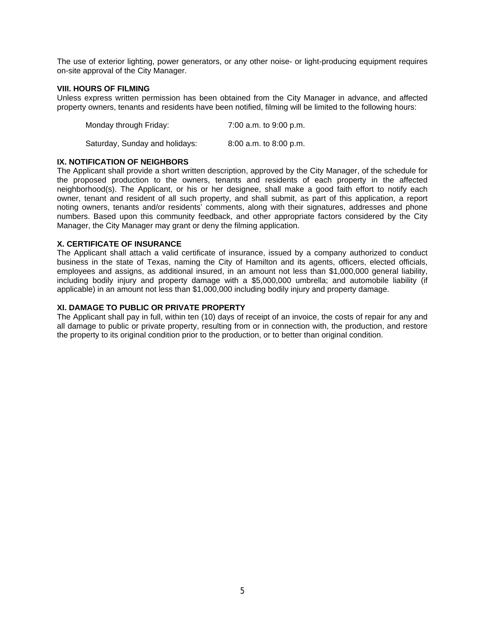The use of exterior lighting, power generators, or any other noise- or light-producing equipment requires on-site approval of the City Manager.

#### **VIII. HOURS OF FILMING**

Unless express written permission has been obtained from the City Manager in advance, and affected property owners, tenants and residents have been notified, filming will be limited to the following hours:

Monday through Friday: 7:00 a.m. to 9:00 p.m. Saturday, Sunday and holidays: 8:00 a.m. to 8:00 p.m.

#### **IX. NOTIFICATION OF NEIGHBORS**

The Applicant shall provide a short written description, approved by the City Manager, of the schedule for the proposed production to the owners, tenants and residents of each property in the affected neighborhood(s). The Applicant, or his or her designee, shall make a good faith effort to notify each owner, tenant and resident of all such property, and shall submit, as part of this application, a report noting owners, tenants and/or residents' comments, along with their signatures, addresses and phone numbers. Based upon this community feedback, and other appropriate factors considered by the City Manager, the City Manager may grant or deny the filming application.

#### **X. CERTIFICATE OF INSURANCE**

The Applicant shall attach a valid certificate of insurance, issued by a company authorized to conduct business in the state of Texas, naming the City of Hamilton and its agents, officers, elected officials, employees and assigns, as additional insured, in an amount not less than \$1,000,000 general liability, including bodily injury and property damage with a \$5,000,000 umbrella; and automobile liability (if applicable) in an amount not less than \$1,000,000 including bodily injury and property damage.

#### **XI. DAMAGE TO PUBLIC OR PRIVATE PROPERTY**

The Applicant shall pay in full, within ten (10) days of receipt of an invoice, the costs of repair for any and all damage to public or private property, resulting from or in connection with, the production, and restore the property to its original condition prior to the production, or to better than original condition.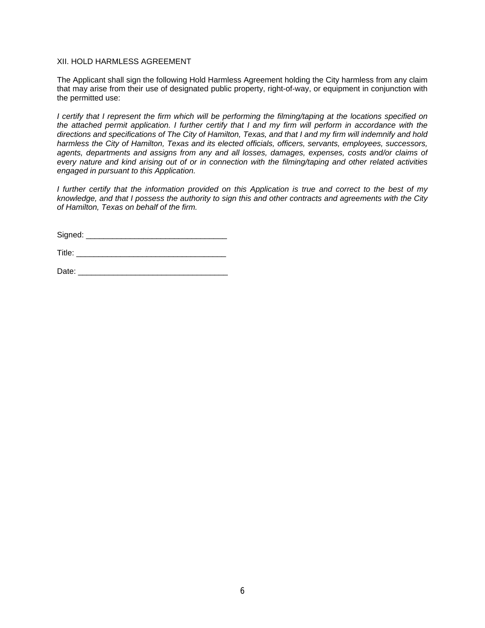#### XII. HOLD HARMLESS AGREEMENT

The Applicant shall sign the following Hold Harmless Agreement holding the City harmless from any claim that may arise from their use of designated public property, right-of-way, or equipment in conjunction with the permitted use:

I certify that I represent the firm which will be performing the filming/taping at the locations specified on the attached permit application. I further certify that I and my firm will perform in accordance with the directions and specifications of The City of Hamilton, Texas, and that I and my firm will indemnify and hold *harmless the City of Hamilton, Texas and its elected officials, officers, servants, employees, successors, agents, departments and assigns from any and all losses, damages, expenses, costs and/or claims of* every nature and kind arising out of or in connection with the filming/taping and other related activities *engaged in pursuant to this Application.*

I further certify that the information provided on this Application is true and correct to the best of my knowledge, and that I possess the authority to sign this and other contracts and agreements with the City *of Hamilton, Texas on behalf of the firm.*

Signed: \_\_\_\_\_\_\_\_\_\_\_\_\_\_\_\_\_\_\_\_\_\_\_\_\_\_\_\_\_\_\_\_

 $\blacksquare$  Title:

Date: \_\_\_\_\_\_\_\_\_\_\_\_\_\_\_\_\_\_\_\_\_\_\_\_\_\_\_\_\_\_\_\_\_\_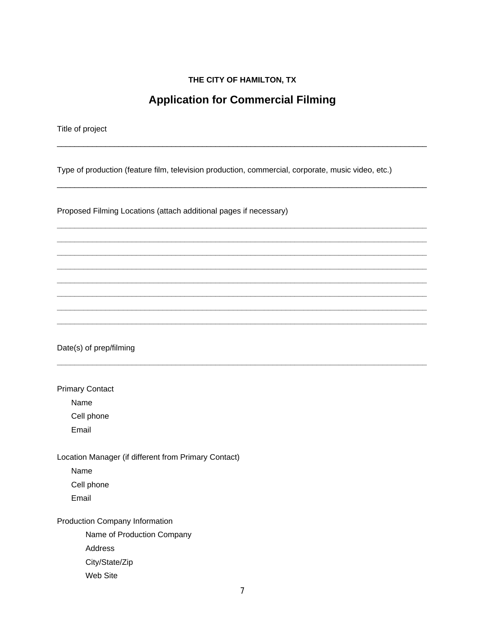#### THE CITY OF HAMILTON, TX

### **Application for Commercial Filming**

Title of project

Type of production (feature film, television production, commercial, corporate, music video, etc.)

Proposed Filming Locations (attach additional pages if necessary)

Date(s) of prep/filming

**Primary Contact** 

Name

Cell phone

Email

Location Manager (if different from Primary Contact)

Name

Cell phone

Email

Production Company Information

Name of Production Company

Address

City/State/Zip

Web Site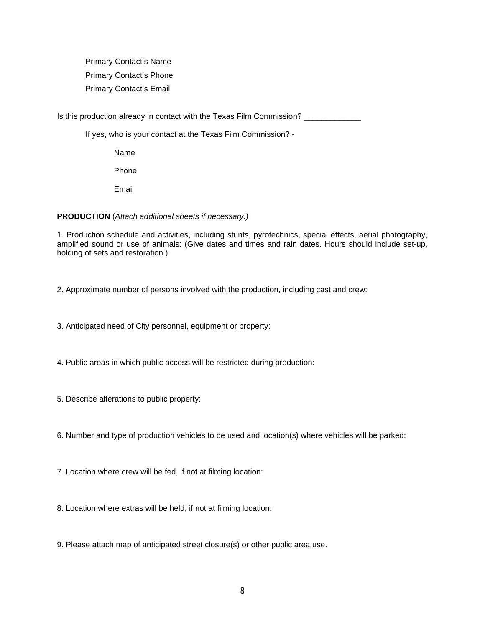Primary Contact's Name Primary Contact's Phone Primary Contact's Email

Is this production already in contact with the Texas Film Commission? \_\_\_\_\_\_\_\_\_\_

If yes, who is your contact at the Texas Film Commission? -

Name

Phone

Email

#### **PRODUCTION** (*Attach additional sheets if necessary.)*

1. Production schedule and activities, including stunts, pyrotechnics, special effects, aerial photography, amplified sound or use of animals: (Give dates and times and rain dates. Hours should include set-up, holding of sets and restoration.)

2. Approximate number of persons involved with the production, including cast and crew:

3. Anticipated need of City personnel, equipment or property:

- 4. Public areas in which public access will be restricted during production:
- 5. Describe alterations to public property:
- 6. Number and type of production vehicles to be used and location(s) where vehicles will be parked:
- 7. Location where crew will be fed, if not at filming location:
- 8. Location where extras will be held, if not at filming location:
- 9. Please attach map of anticipated street closure(s) or other public area use.